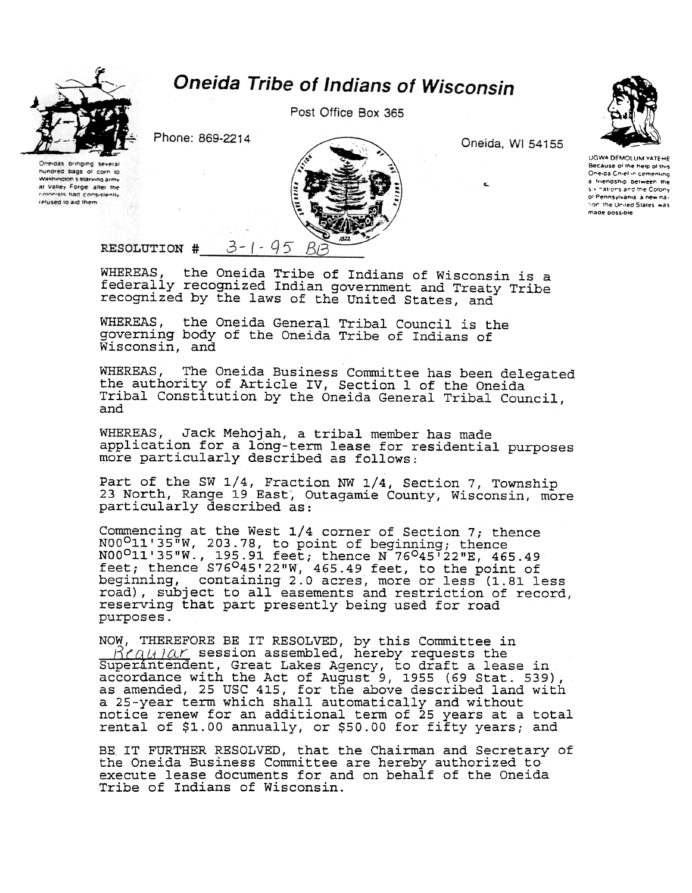

hungred bags of corp to Washington's starving army

at Valley Forge after the

colonists had consistently

refused to aid them

## **Oneida Tribe of Indians of Wisconsin**

Post Office Box 365

Phone: 869-2214



Oneida, WI 54155

UGWA DEMOLUM YATEHE Because of the help of this<br>Oneida Chief in cementing a friendship between the six nations and the Colony of Pennsylvania, a new nation, the United States, was made possible

 $3 - 1 - 95$ RESOLUTION #

WHEREAS, the Oneida Tribe of Indians of Wisconsin is a<br>federally recognized Indian government and Treaty Tribe recognized by the laws of the United States, and

WHEREAS, the Oneida General Tribal Council is the governing body of the Oneida Tribe of Indians of Wisconsin, and

The Oneida Business Committee has been delegated WHEREAS. the authority of Article IV, Section 1 of the Oneida<br>Tribal Constitution by the Oneida General Tribal Council, and

WHEREAS, Jack Mehojah, a tribal member has made application for a long-term lease for residential purposes more particularly described as follows:

Part of the SW 1/4, Fraction NW 1/4, Section 7, Township<br>23 North, Range 19 East, Outagamie County, Wisconsin, more particularly described as:

Commencing at the West 1/4 corner of Section 7; thence N00<sup>0</sup>11'35"W, 203.78, to point of beginning; thence<br>N00<sup>0</sup>11'35"W., 195.91 feet; thence N 76<sup>0</sup>45'22"E, 465.49<br>feet; thence S76<sup>0</sup>45'22"W, 465.49 feet, to the point of<br>beginning, containing 2.0 acres, more or less (1.81 l road), subject to all easements and restriction of record, reserving that part presently being used for road purposes.

NOW, THEREFORE BE IT RESOLVED, by this Committee in  $\beta$ <sup>'</sup>  $\alpha$ <sub>*k*</sub> *i* $\alpha$ <sup>*r*</sup> session assembled, hereby requests the Superintendent, Great Lakes Agency, to draft a lease in accordance with the Act of August 9, 1955 (69 Stat. 539) as amended, 25 USC 415, for the above described land with a 25-year term which shall automatically and without<br>notice renew for an additional term of 25 years at a total<br>rental of \$1.00 annually, or \$50.00 for fifty years; and

BE IT FURTHER RESOLVED, that the Chairman and Secretary of the Oneida Business Committee are hereby authorized to execute lease documents for and on behalf of the Oneida Tribe of Indians of Wisconsin.